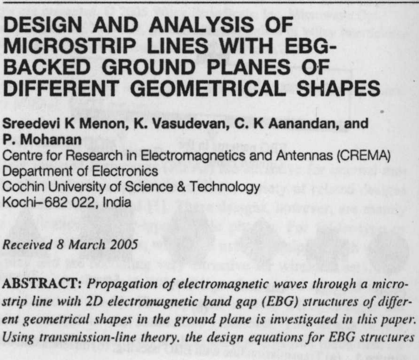# **DESIGN AND** ANALYSIS OF **MICROSTRIP LINES WITH EBG-BACKED GROUND** PLANES OF **DIFFERENT GEOMETRICAL SHAPES**

**Sreedevi K Menon, K. Vasudevan, C. K Aanandan, and P. Mohanan**

Centre for Research in Electromagnetics and Antennas (CREMA) Department of Electronics

Cochin University of Science & Technology

Kochi-682 022, India

**Received** 8 March 2005

ABSTRACT: *Propagation of electromagnetic waves through a microstrip line with 2D electromagnetic baud gap (EBG) structures of different geometrical shapes in the ground plane is investigated in* this *paper. Using transmission-line theory, the design equations for EBG structures*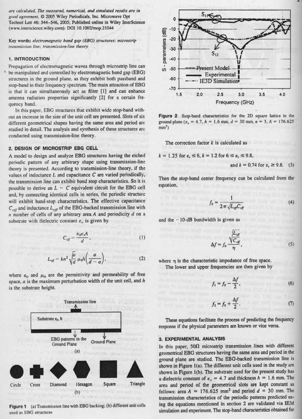*are calculated. The measured, numerical. and simulated results are* **in** good agreement.  $Q$  2005 Wiley Periodicals, Inc. Microwave Opt Technol Lett 46: 544-546, 2005; **Published online** in Wiley **InterScience** (www.interscience.wiley.com). DO] 10.1002/mop.21044

**Key words**: *electromagnetic band gap (EBG) structures: microstrip transmission line: transmission-line theory*

# 1. INTRODUCTION

Propagation of electromagnetic waves through microstrip line can he manipulated and controlled by electromagnetic band gap (EBG) structures in the ground plane. as they exhibit both passband and stop-hand in their frequency spectrum. The main attraction of EBG is that it can simultaneously act as filter [1] and can enhance antenna radiation properties significantly [21 for a certain frequency band.

In this paper, EBG structures that exhibit wide stop-band without an increase in the size of the unit cell are presented. Slots of six different geometrical shapes having the same area and period arc studied in detail. The analysis and synthesis of these structures are conducted using transmission-line theory.

### **2. DESIGN OF MICROSTRIP EBG CELL**

A model to design and analyze EBG structures having the etched periodic pattern of any arbitrary shape using transmission-line theory is presented. According to transmission-line theory, if the values of inductance L and capacitance C are varied periodically, the transmission line can exhibit hand stop characteristics. So it is possible to derive an  $L - C$  equivalent circuit for the EBG cell and, by connecting identical cells in series, the periodic structure will exhibit band-stop characteristics. The effective capacitance  $C_{\text{eff}}$  and inductance  $L_{\text{eff}}$  of the EBG-backed transmission line with *n* number of cells of any arbitrary area A and periodicity *d* on a substrate with dielectric constant  $\varepsilon$ , is given by

$$
C_{\text{eff}} = \frac{\varepsilon_0 \varepsilon A}{d},\tag{1}
$$

$$
L_{\text{eff}} = kn^2 \sqrt{\frac{a}{d}} \mu_0 h\left(\frac{a}{d-a}\right),\tag{2}
$$

where  $\varepsilon_0$  and  $\mu_0$  are the permittivity and permeability of free **space, a is the maximum perturbation width of the unit cell, and h** is the substrate height.



**Figure 1** (a) Transmission line with EBG backing; (b) different unit cells used as EBG structures



Figure 2 Stop-band characteristics for the 2D square lattice in the ground plane ( $\varepsilon_r = 4.7$ ,  $h = 1.6$  mm,  $d = 30$  mm,  $n = 3$ ,  $A = 176.625$  $mm<sup>2</sup>$ )

The correction factor  $k$  is calculated as

$$
k = 1.25
$$
 for  $\varepsilon$ ,  $\leq 6$ ,  $k = 1.2$  for  $6 \leq \varepsilon$ ,  $\leq 9.8$ ,

and  $k = 0.74$  for  $\varepsilon_r \ge 9.8$ . (3)

Then the stop-band center frequency can be calculated from the equation,

$$
f_0 = \frac{1}{2\pi\sqrt{L_{\text{eff}}C_{\text{eff}}}}\tag{4}
$$

and the  $-10$ -dB bandwidth is given as

$$
\Delta f = f_0 \frac{\sqrt{\frac{L_{eff}}{C_{eff}}}}{\eta},
$$
\n(5)

where  $\eta$  is the characteristic impedance of free space. **The lower and upper frequencies are then given by**

$$
f_1 = f_0 - \frac{\Delta f}{2},\tag{6}
$$

$$
f_2 = f_0 + \frac{\Delta f}{2}.
$$
 (7)

These equations facilitate the process of predicting the frequency response if the physical parameters are known or vice versa.

#### **3. EXPERIMENTAL ANALYSIS**

In this paper,  $50\Omega$  microstrip transmission lines with different geometrical EBG structures **having the same** area and period in the ground plane arc studied. The EBG-backed transmission line is shown in Figure 1(a). The different **unit cells used** in the study are shown in Figure 1(b). The substrate used for the present study has a dielectric constant of  $\varepsilon_r = 4.7$  and thickness  $h = 1.6$  mm. The area and period of the **geometrical slots are** kept constant as follows: area  $A = 176.625$  mm<sup>2</sup> and period  $d = 30$  mm. The **transmission** characteristics of the periodic patterns predicted using the equations mentioned in section 2 are validated via IE3d simulation and experiment. The stop-hand characteristics obtained for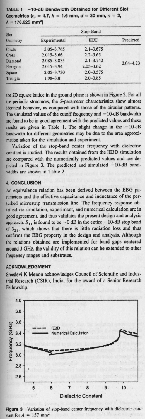TABLE 1 -10-**dB Bandwidth** Obtained for Different Slot Geometries ( $\varepsilon_r = 4.7$ ,  $h = 1.6$  mm,  $d = 30$  mm,  $n = 3$ , A = 176.**625 mm')**

| Slot<br>Geometry | Stop-Band      |               |               |
|------------------|----------------|---------------|---------------|
|                  | Experimental   | IE3D          | Predicted     |
| Circle           | $2.05 - 3.765$ | $2.1 - 3.675$ | $2.04 - 4.23$ |
| Cross            | $2.015 - 3.66$ | $2.2 - 3.65$  |               |
| Diamond          | 2.085-3.835    | $2.1 - 3.742$ |               |
| Hexagon          | $2.015 - 3.94$ | $2.05 - 3.62$ |               |
| Square           | $2.05 - 3.730$ | $2.0 - 3.575$ |               |
| Triangle         | $1.98 - 3.8$   | $2.0 - 3.85$  |               |

the 2D square lattice in the ground plane is shown in Figure 2. For all the periodic structures, the S-parameter characteristics show almost identical behavior, as compared with those of the circular patterns. The simulated values of the cutoff frequency and  $-10$ -dB bandwidth are found to be in good agreement with the predicted values and these results are given in Table 1. The slight change in the  $-10$ -dB bandwidth for different geometries may be due to the area approximation taken for the simulation and experiment.

Variation of the stop-band center frequency with dielectric constant is studied. The results obtained from the IE3D simulation are compared with the numerically predicted values and are depicted in Figure 3. The predicted and simulated  $-10$ -dB bandwidths are shown in Table 2.

#### **4. CONCLUSION**

An equivalence relation has been derived between the EBG parameters and the effective capacitance and inductance of the perturbed microstrip transmission line. The frequency response obtained via simulation, experiment, and numerical calculation are in good agreement, and thus validates the present design and analysis approach.  $S_{11}$  is found to be  $\sim$  0 dB in the entire  $-10$ -dB stop band of  $S_{21}$ , which shows that there is little radiation loss and thus confirms the EBG property **in the design** and analysis. Although **the relations** obtained **arc implemented for band gaps** centered around 3 GHz, the validity of this relation can be extended to other frequency **ranges and substrates.**

#### **ACKNOWLEDGMENT**

Sreedevi K Menon acknowledges Council of Scientific and Industrial Research (CSIR), India, for the award of a Senior Research Fellowship.